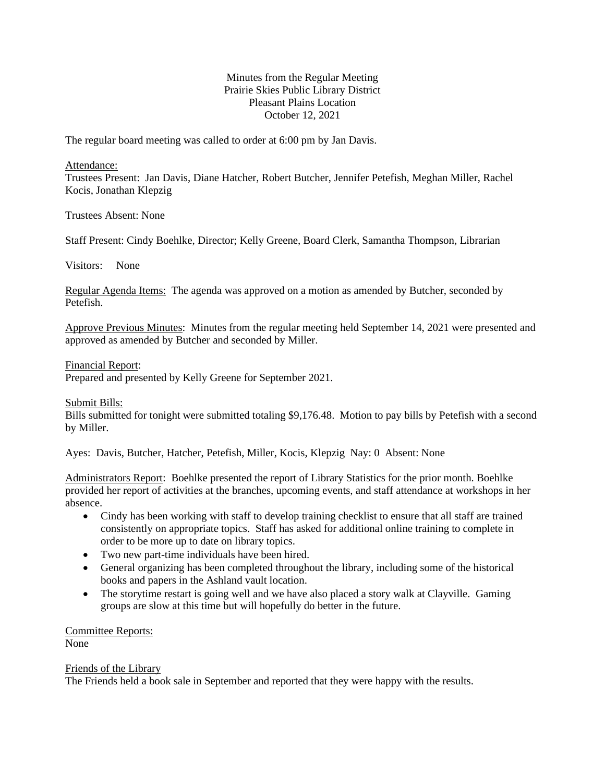## Minutes from the Regular Meeting Prairie Skies Public Library District Pleasant Plains Location October 12, 2021

The regular board meeting was called to order at 6:00 pm by Jan Davis.

Attendance:

Trustees Present: Jan Davis, Diane Hatcher, Robert Butcher, Jennifer Petefish, Meghan Miller, Rachel Kocis, Jonathan Klepzig

Trustees Absent: None

Staff Present: Cindy Boehlke, Director; Kelly Greene, Board Clerk, Samantha Thompson, Librarian

Visitors: None

Regular Agenda Items: The agenda was approved on a motion as amended by Butcher, seconded by Petefish.

Approve Previous Minutes: Minutes from the regular meeting held September 14, 2021 were presented and approved as amended by Butcher and seconded by Miller.

Financial Report:

Prepared and presented by Kelly Greene for September 2021.

Submit Bills:

Bills submitted for tonight were submitted totaling \$9,176.48. Motion to pay bills by Petefish with a second by Miller.

Ayes: Davis, Butcher, Hatcher, Petefish, Miller, Kocis, Klepzig Nay: 0 Absent: None

Administrators Report: Boehlke presented the report of Library Statistics for the prior month. Boehlke provided her report of activities at the branches, upcoming events, and staff attendance at workshops in her absence.

- Cindy has been working with staff to develop training checklist to ensure that all staff are trained consistently on appropriate topics. Staff has asked for additional online training to complete in order to be more up to date on library topics.
- Two new part-time individuals have been hired.
- General organizing has been completed throughout the library, including some of the historical books and papers in the Ashland vault location.
- The storytime restart is going well and we have also placed a story walk at Clayville. Gaming groups are slow at this time but will hopefully do better in the future.

Committee Reports: None

Friends of the Library

The Friends held a book sale in September and reported that they were happy with the results.